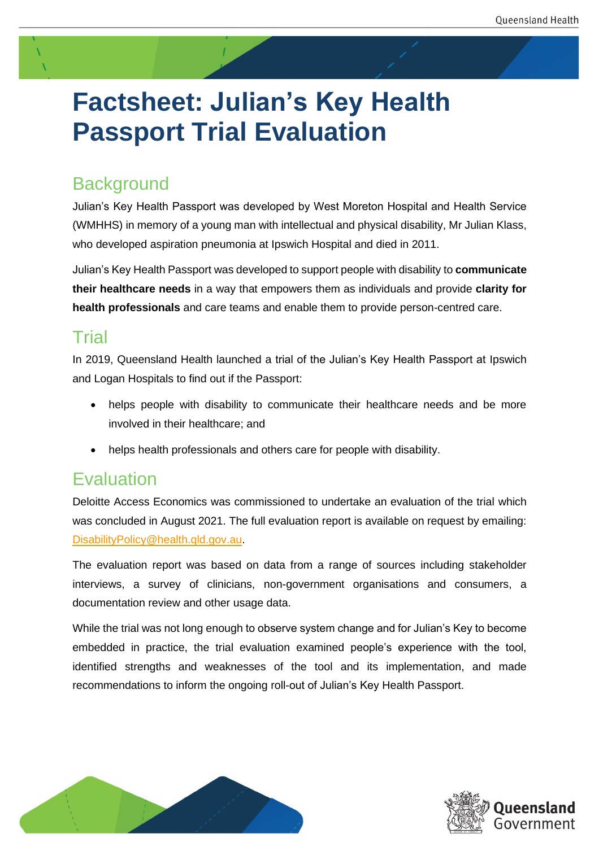# **Factsheet: Julian's Key Health Passport Trial Evaluation**

## **Background**

Julian's Key Health Passport was developed by West Moreton Hospital and Health Service (WMHHS) in memory of a young man with intellectual and physical disability, Mr Julian Klass, who developed aspiration pneumonia at Ipswich Hospital and died in 2011.

Julian's Key Health Passport was developed to support people with disability to **communicate their healthcare needs** in a way that empowers them as individuals and provide **clarity for health professionals** and care teams and enable them to provide person-centred care.

#### Trial

In 2019, Queensland Health launched a trial of the Julian's Key Health Passport at Ipswich and Logan Hospitals to find out if the Passport:

- helps people with disability to communicate their healthcare needs and be more involved in their healthcare; and
- helps health professionals and others care for people with disability.

#### Evaluation

Deloitte Access Economics was commissioned to undertake an evaluation of the trial which was concluded in August 2021. The full evaluation report is available on request by emailing: [DisabilityPolicy@health.qld.gov.au.](mailto:DisabilityPolicy@health.qld.gov.au)

The evaluation report was based on data from a range of sources including stakeholder interviews, a survey of clinicians, non-government organisations and consumers, a documentation review and other usage data.

While the trial was not long enough to observe system change and for Julian's Key to become embedded in practice, the trial evaluation examined people's experience with the tool, identified strengths and weaknesses of the tool and its implementation, and made recommendations to inform the ongoing roll-out of Julian's Key Health Passport.



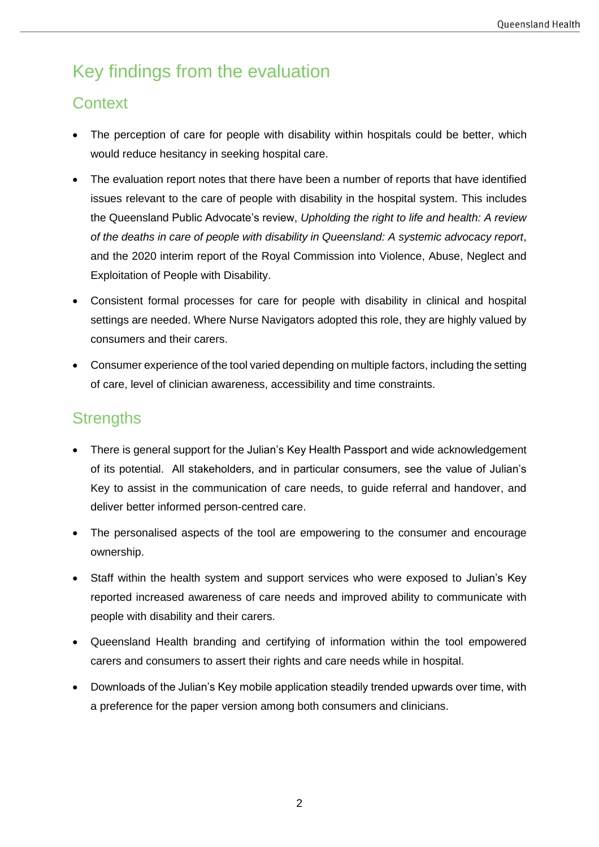# Key findings from the evaluation

#### **Context**

- The perception of care for people with disability within hospitals could be better, which would reduce hesitancy in seeking hospital care.
- The evaluation report notes that there have been a number of reports that have identified issues relevant to the care of people with disability in the hospital system. This includes the Queensland Public Advocate's review, *Upholding the right to life and health: A review of the deaths in care of people with disability in Queensland: A systemic advocacy report*, and the 2020 interim report of the Royal Commission into Violence, Abuse, Neglect and Exploitation of People with Disability.
- Consistent formal processes for care for people with disability in clinical and hospital settings are needed. Where Nurse Navigators adopted this role, they are highly valued by consumers and their carers.
- Consumer experience of the tool varied depending on multiple factors, including the setting of care, level of clinician awareness, accessibility and time constraints.

#### **Strengths**

- There is general support for the Julian's Key Health Passport and wide acknowledgement of its potential. All stakeholders, and in particular consumers, see the value of Julian's Key to assist in the communication of care needs, to guide referral and handover, and deliver better informed person-centred care.
- The personalised aspects of the tool are empowering to the consumer and encourage ownership.
- Staff within the health system and support services who were exposed to Julian's Key reported increased awareness of care needs and improved ability to communicate with people with disability and their carers.
- Queensland Health branding and certifying of information within the tool empowered carers and consumers to assert their rights and care needs while in hospital.
- Downloads of the Julian's Key mobile application steadily trended upwards over time, with a preference for the paper version among both consumers and clinicians.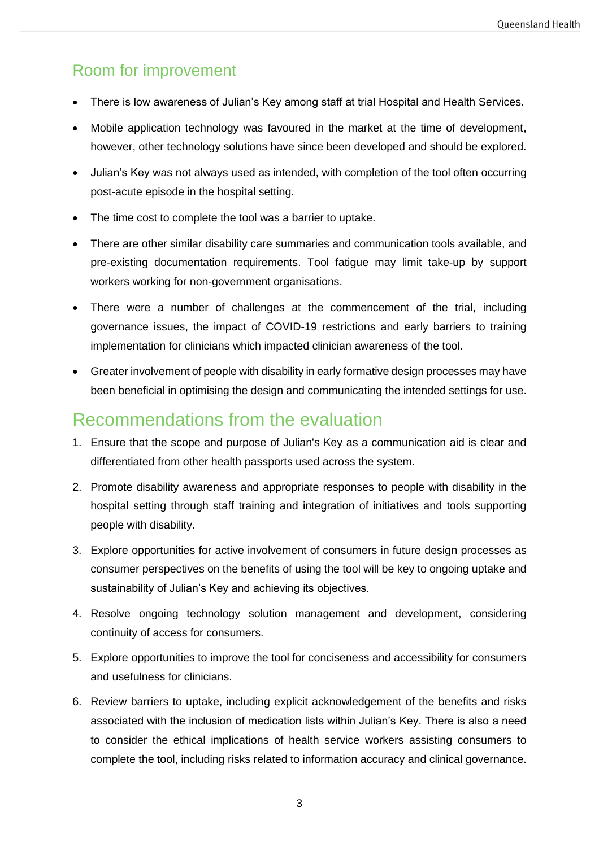#### Room for improvement

- There is low awareness of Julian's Key among staff at trial Hospital and Health Services.
- Mobile application technology was favoured in the market at the time of development, however, other technology solutions have since been developed and should be explored.
- Julian's Key was not always used as intended, with completion of the tool often occurring post-acute episode in the hospital setting.
- The time cost to complete the tool was a barrier to uptake.
- There are other similar disability care summaries and communication tools available, and pre-existing documentation requirements. Tool fatigue may limit take-up by support workers working for non-government organisations.
- There were a number of challenges at the commencement of the trial, including governance issues, the impact of COVID-19 restrictions and early barriers to training implementation for clinicians which impacted clinician awareness of the tool.
- Greater involvement of people with disability in early formative design processes may have been beneficial in optimising the design and communicating the intended settings for use.

#### Recommendations from the evaluation

- 1. Ensure that the scope and purpose of Julian's Key as a communication aid is clear and differentiated from other health passports used across the system.
- 2. Promote disability awareness and appropriate responses to people with disability in the hospital setting through staff training and integration of initiatives and tools supporting people with disability.
- 3. Explore opportunities for active involvement of consumers in future design processes as consumer perspectives on the benefits of using the tool will be key to ongoing uptake and sustainability of Julian's Key and achieving its objectives.
- 4. Resolve ongoing technology solution management and development, considering continuity of access for consumers.
- 5. Explore opportunities to improve the tool for conciseness and accessibility for consumers and usefulness for clinicians.
- 6. Review barriers to uptake, including explicit acknowledgement of the benefits and risks associated with the inclusion of medication lists within Julian's Key. There is also a need to consider the ethical implications of health service workers assisting consumers to complete the tool, including risks related to information accuracy and clinical governance.